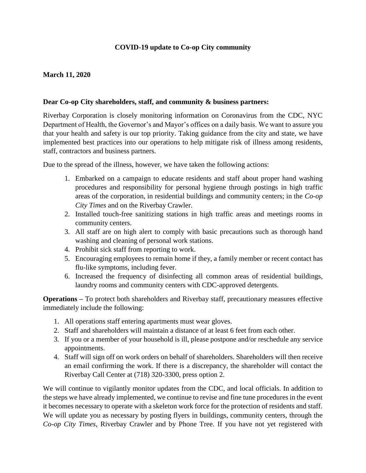## **COVID-19 update to Co-op City community**

## **March 11, 2020**

## **Dear Co-op City shareholders, staff, and community & business partners:**

Riverbay Corporation is closely monitoring information on Coronavirus from the CDC, NYC Department of Health, the Governor's and Mayor's offices on a daily basis. We want to assure you that your health and safety is our top priority. Taking guidance from the city and state, we have implemented best practices into our operations to help mitigate risk of illness among residents, staff, contractors and business partners.

Due to the spread of the illness, however, we have taken the following actions:

- 1. Embarked on a campaign to educate residents and staff about proper hand washing procedures and responsibility for personal hygiene through postings in high traffic areas of the corporation, in residential buildings and community centers; in the *Co-op City Times* and on the Riverbay Crawler.
- 2. Installed touch-free sanitizing stations in high traffic areas and meetings rooms in community centers.
- 3. All staff are on high alert to comply with basic precautions such as thorough hand washing and cleaning of personal work stations.
- 4. Prohibit sick staff from reporting to work.
- 5. Encouraging employees to remain home if they, a family member or recent contact has flu-like symptoms, including fever.
- 6. Increased the frequency of disinfecting all common areas of residential buildings, laundry rooms and community centers with CDC-approved detergents.

**Operations –** To protect both shareholders and Riverbay staff, precautionary measures effective immediately include the following:

- 1. All operations staff entering apartments must wear gloves.
- 2. Staff and shareholders will maintain a distance of at least 6 feet from each other.
- 3. If you or a member of your household is ill, please postpone and/or reschedule any service appointments.
- 4. Staff will sign off on work orders on behalf of shareholders. Shareholders will then receive an email confirming the work. If there is a discrepancy, the shareholder will contact the Riverbay Call Center at (718) 320-3300, press option 2.

We will continue to vigilantly monitor updates from the CDC, and local officials. In addition to the steps we have already implemented, we continue to revise and fine tune procedures in the event it becomes necessary to operate with a skeleton work force for the protection of residents and staff. We will update you as necessary by posting flyers in buildings, community centers, through the *Co-op City Times*, Riverbay Crawler and by Phone Tree. If you have not yet registered with